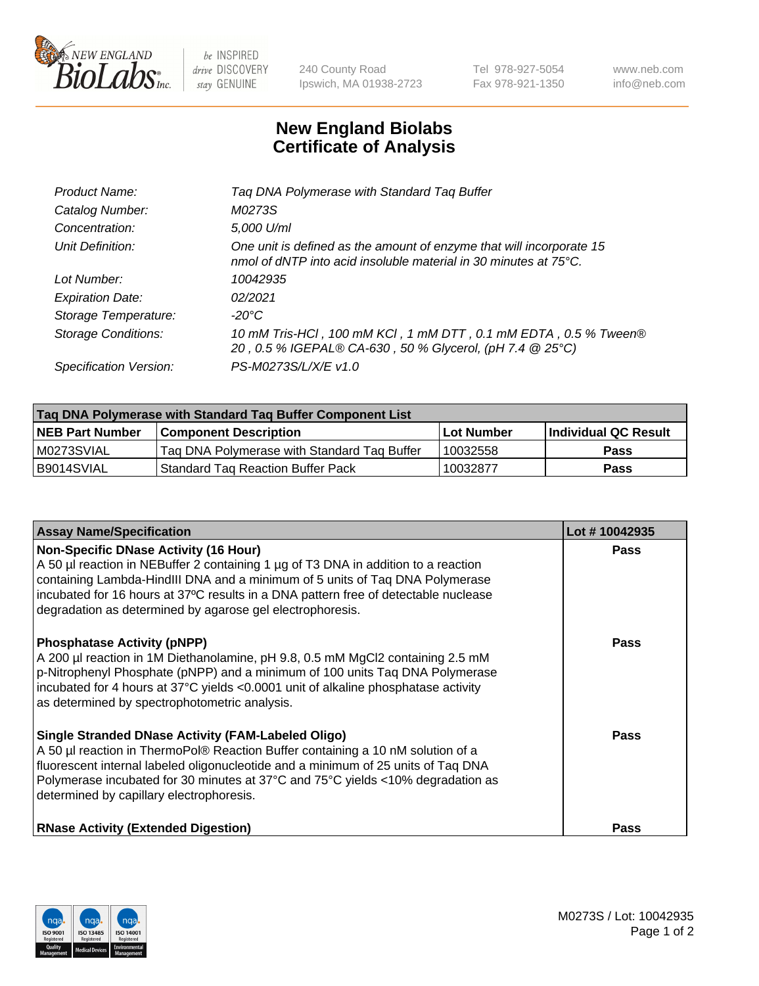

 $be$  INSPIRED drive DISCOVERY stay GENUINE

240 County Road Ipswich, MA 01938-2723 Tel 978-927-5054 Fax 978-921-1350 www.neb.com info@neb.com

## **New England Biolabs Certificate of Analysis**

| Product Name:              | Tag DNA Polymerase with Standard Tag Buffer                                                                                              |
|----------------------------|------------------------------------------------------------------------------------------------------------------------------------------|
| Catalog Number:            | M0273S                                                                                                                                   |
| Concentration:             | 5,000 U/ml                                                                                                                               |
| Unit Definition:           | One unit is defined as the amount of enzyme that will incorporate 15<br>nmol of dNTP into acid insoluble material in 30 minutes at 75°C. |
| Lot Number:                | 10042935                                                                                                                                 |
| <b>Expiration Date:</b>    | 02/2021                                                                                                                                  |
| Storage Temperature:       | $-20^{\circ}$ C                                                                                                                          |
| <b>Storage Conditions:</b> | 10 mM Tris-HCl, 100 mM KCl, 1 mM DTT, 0.1 mM EDTA, 0.5 % Tween®<br>20, 0.5 % IGEPAL® CA-630, 50 % Glycerol, (pH 7.4 @ 25°C)              |
| Specification Version:     | PS-M0273S/L/X/E v1.0                                                                                                                     |
|                            |                                                                                                                                          |

| Tag DNA Polymerase with Standard Tag Buffer Component List |                                             |                   |                      |  |
|------------------------------------------------------------|---------------------------------------------|-------------------|----------------------|--|
| <b>NEB Part Number</b>                                     | <b>Component Description</b>                | <b>Lot Number</b> | Individual QC Result |  |
| M0273SVIAL                                                 | Tag DNA Polymerase with Standard Tag Buffer | 10032558          | <b>Pass</b>          |  |
| B9014SVIAL                                                 | Standard Tag Reaction Buffer Pack           | 10032877          | <b>Pass</b>          |  |

| <b>Assay Name/Specification</b>                                                                                                                                                                                                                                                                                                                                        | Lot #10042935 |
|------------------------------------------------------------------------------------------------------------------------------------------------------------------------------------------------------------------------------------------------------------------------------------------------------------------------------------------------------------------------|---------------|
| <b>Non-Specific DNase Activity (16 Hour)</b><br>A 50 µl reaction in NEBuffer 2 containing 1 µg of T3 DNA in addition to a reaction<br>containing Lambda-HindIII DNA and a minimum of 5 units of Taq DNA Polymerase<br>incubated for 16 hours at 37°C results in a DNA pattern free of detectable nuclease<br>degradation as determined by agarose gel electrophoresis. | <b>Pass</b>   |
| <b>Phosphatase Activity (pNPP)</b><br>A 200 µl reaction in 1M Diethanolamine, pH 9.8, 0.5 mM MgCl2 containing 2.5 mM<br>p-Nitrophenyl Phosphate (pNPP) and a minimum of 100 units Taq DNA Polymerase<br>incubated for 4 hours at 37°C yields <0.0001 unit of alkaline phosphatase activity<br>as determined by spectrophotometric analysis.                            | <b>Pass</b>   |
| <b>Single Stranded DNase Activity (FAM-Labeled Oligo)</b><br>A 50 µl reaction in ThermoPol® Reaction Buffer containing a 10 nM solution of a<br>fluorescent internal labeled oligonucleotide and a minimum of 25 units of Taq DNA<br>Polymerase incubated for 30 minutes at 37°C and 75°C yields <10% degradation as<br>determined by capillary electrophoresis.       | Pass          |
| <b>RNase Activity (Extended Digestion)</b>                                                                                                                                                                                                                                                                                                                             | Pass          |